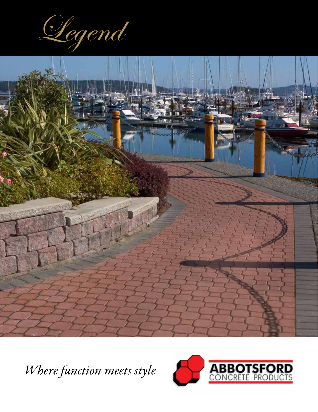



*Where function meets style*